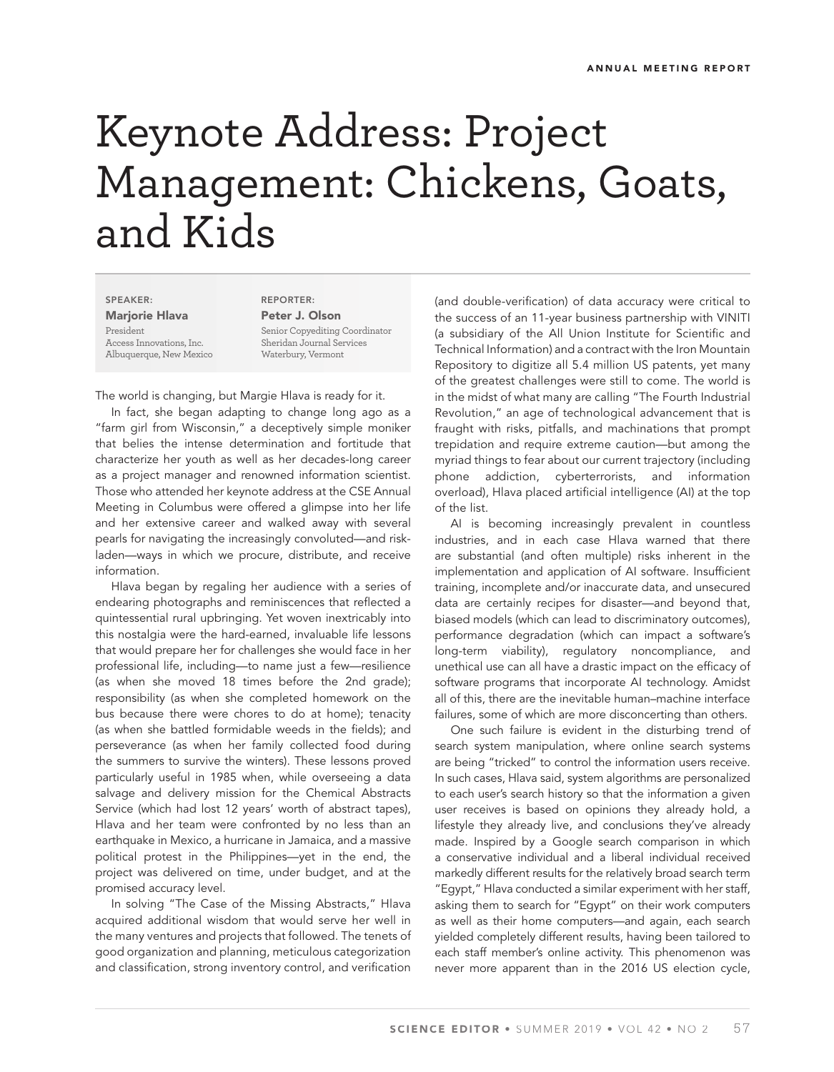## Keynote Address: Project Management: Chickens, Goats, and Kids

**SPEAKER: Marjorie Hlava** President Access Innovations, Inc. Albuquerque, New Mexico

**REPORTER: Peter J. Olson** Senior Copyediting Coordinator Sheridan Journal Services Waterbury, Vermont

The world is changing, but Margie Hlava is ready for it.

In fact, she began adapting to change long ago as a "farm girl from Wisconsin," a deceptively simple moniker that belies the intense determination and fortitude that characterize her youth as well as her decades-long career as a project manager and renowned information scientist. Those who attended her keynote address at the CSE Annual Meeting in Columbus were offered a glimpse into her life and her extensive career and walked away with several pearls for navigating the increasingly convoluted—and riskladen—ways in which we procure, distribute, and receive information.

Hlava began by regaling her audience with a series of endearing photographs and reminiscences that reflected a quintessential rural upbringing. Yet woven inextricably into this nostalgia were the hard-earned, invaluable life lessons that would prepare her for challenges she would face in her professional life, including—to name just a few—resilience (as when she moved 18 times before the 2nd grade); responsibility (as when she completed homework on the bus because there were chores to do at home); tenacity (as when she battled formidable weeds in the fields); and perseverance (as when her family collected food during the summers to survive the winters). These lessons proved particularly useful in 1985 when, while overseeing a data salvage and delivery mission for the Chemical Abstracts Service (which had lost 12 years' worth of abstract tapes), Hlava and her team were confronted by no less than an earthquake in Mexico, a hurricane in Jamaica, and a massive political protest in the Philippines—yet in the end, the project was delivered on time, under budget, and at the promised accuracy level.

In solving "The Case of the Missing Abstracts," Hlava acquired additional wisdom that would serve her well in the many ventures and projects that followed. The tenets of good organization and planning, meticulous categorization and classification, strong inventory control, and verification

(and double-verification) of data accuracy were critical to the success of an 11-year business partnership with VINITI (a subsidiary of the All Union Institute for Scientific and Technical Information) and a contract with the Iron Mountain Repository to digitize all 5.4 million US patents, yet many of the greatest challenges were still to come. The world is in the midst of what many are calling "The Fourth Industrial Revolution," an age of technological advancement that is fraught with risks, pitfalls, and machinations that prompt trepidation and require extreme caution—but among the myriad things to fear about our current trajectory (including phone addiction, cyberterrorists, and information overload), Hlava placed artificial intelligence (AI) at the top of the list.

AI is becoming increasingly prevalent in countless industries, and in each case Hlava warned that there are substantial (and often multiple) risks inherent in the implementation and application of AI software. Insufficient training, incomplete and/or inaccurate data, and unsecured data are certainly recipes for disaster—and beyond that, biased models (which can lead to discriminatory outcomes), performance degradation (which can impact a software's long-term viability), regulatory noncompliance, and unethical use can all have a drastic impact on the efficacy of software programs that incorporate AI technology. Amidst all of this, there are the inevitable human–machine interface failures, some of which are more disconcerting than others.

One such failure is evident in the disturbing trend of search system manipulation, where online search systems are being "tricked" to control the information users receive. In such cases, Hlava said, system algorithms are personalized to each user's search history so that the information a given user receives is based on opinions they already hold, a lifestyle they already live, and conclusions they've already made. Inspired by a Google search comparison in which a conservative individual and a liberal individual received markedly different results for the relatively broad search term "Egypt," Hlava conducted a similar experiment with her staff, asking them to search for "Egypt" on their work computers as well as their home computers—and again, each search yielded completely different results, having been tailored to each staff member's online activity. This phenomenon was never more apparent than in the 2016 US election cycle,